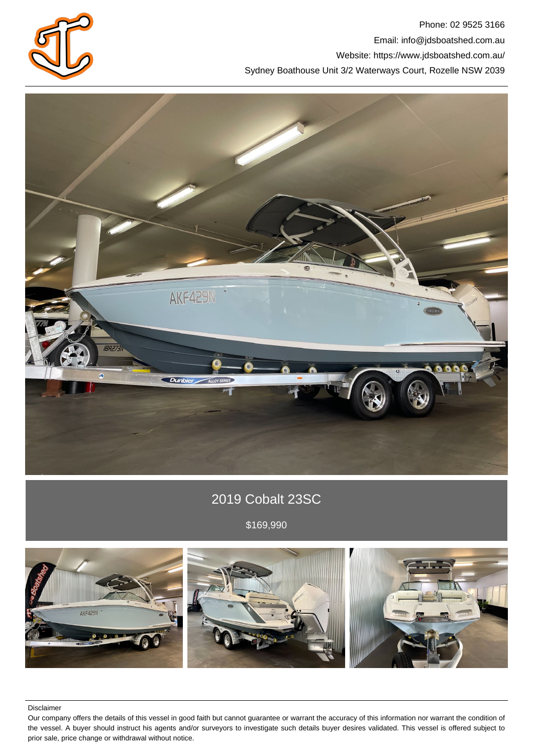

Phone: 02 9525 3166 Email: info@jdsboatshed.com.au Website: https://www.jdsboatshed.com.au/ Sydney Boathouse Unit 3/2 Waterways Court, Rozelle NSW 2039



# 2019 Cobalt 23SC

\$169,990



Disclaimer

Our company offers the details of this vessel in good faith but cannot guarantee or warrant the accuracy of this information nor warrant the condition of the vessel. A buyer should instruct his agents and/or surveyors to investigate such details buyer desires validated. This vessel is offered subject to prior sale, price change or withdrawal without notice.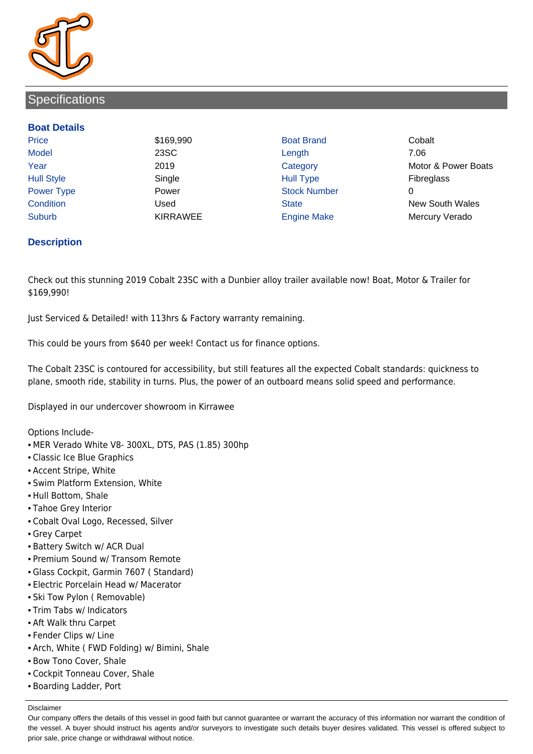

### **Specifications**

#### **Boat Details**

Price **\$169,990 Boat Brand Cobalt** Cobalt Model 23SC Length 7.06 Hull Style Single Hull Type Fibreglass Power Type **Power Power** Power Stock Number Condition Used State New South Wales Suburb **KIRRAWEE Engine Make Mercury Verado** 

Year 2019 2019 Category Category Motor & Power Boats

### **Description**

Check out this stunning 2019 Cobalt 23SC with a Dunbier alloy trailer available now! Boat, Motor & Trailer for \$169,990!

Just Serviced & Detailed! with 113hrs & Factory warranty remaining.

This could be yours from \$640 per week! Contact us for finance options.

The Cobalt 23SC is contoured for accessibility, but still features all the expected Cobalt standards: quickness to plane, smooth ride, stability in turns. Plus, the power of an outboard means solid speed and performance.

Displayed in our undercover showroom in Kirrawee

Options Include-

- MER Verado White V8- 300XL, DTS, PAS (1.85) 300hp
- Classic Ice Blue Graphics
- Accent Stripe, White
- Swim Platform Extension, White
- Hull Bottom, Shale
- Tahoe Grey Interior
- Cobalt Oval Logo, Recessed, Silver
- Grey Carpet
- Battery Switch w/ ACR Dual
- Premium Sound w/ Transom Remote
- Glass Cockpit, Garmin 7607 ( Standard)
- Electric Porcelain Head w/ Macerator
- Ski Tow Pylon ( Removable)
- Trim Tabs w/ Indicators
- Aft Walk thru Carpet
- Fender Clips w/ Line
- Arch, White ( FWD Folding) w/ Bimini, Shale
- Bow Tono Cover, Shale
- Cockpit Tonneau Cover, Shale
- Boarding Ladder, Port

Disclaimer

Our company offers the details of this vessel in good faith but cannot guarantee or warrant the accuracy of this information nor warrant the condition of the vessel. A buyer should instruct his agents and/or surveyors to investigate such details buyer desires validated. This vessel is offered subject to prior sale, price change or withdrawal without notice.